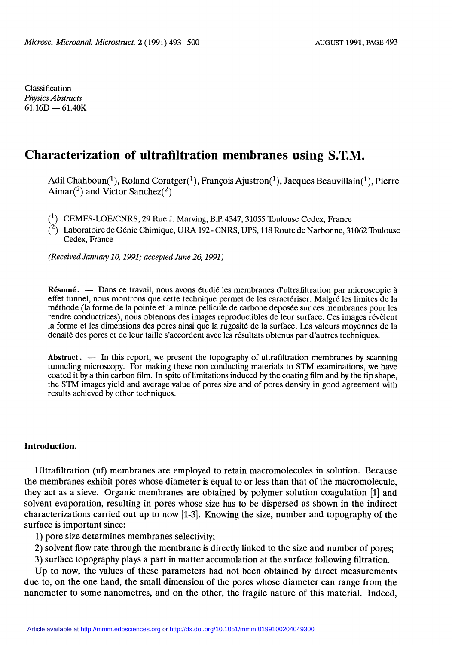Classification Physics Abstracts  $61.16D - 61.40K$ 

# Characterization of ultrafiltration membranes using S.T.M.

Adil Chahboun(<sup>1</sup>), Roland Coratger(<sup>1</sup>), François Ajustron(<sup>1</sup>), Jacques Beauvillain(<sup>1</sup>), Pierre Aimar(<sup>2</sup>) and Victor Sanchez(<sup>2</sup>)

 $(1)$  CEMES-LOE/CNRS, 29 Rue J. Marving, B.P. 4347, 31055 Toulouse Cedex, France

 $\binom{2}{1}$  Laboratoire de Génie Chimique, URA 192 - CNRS, UPS, 118 Route de Narbonne, 31062 Toulouse Cedex, France

(Received January 10, 1991; accepted June 26, 1991)

Résumé. — Dans ce travail, nous avons étudié les membranes d'ultrafiltration par microscopie à effet tunnel, nous montrons que cette technique permet de les caractériser. Malgré les limites de la méthode (la forme de la pointe et la mince pellicule de carbone deposée sur ces membranes pour les rendre conductrices), nous obtenons des images reproductibles de leur surface. Ces images révèlent la forme et les dimensions des pores ainsi que la rugosité de la surface. Les valeurs moyennes de la densité des pores et de leur taille s'accordent avec les résultats obtenus par d'autres techniques.

Abstract.  $\overline{a}$  In this report, we present the topography of ultrafiltration membranes by scanning tunneling microscopy. For making these non conducting materials to STM examinations, we have coated it by a thin carbon film. In spite of limitations induced by the coating film and by the tip shape, the STM images yield and average value of pores size and of pores density in good agreement with results achieved by other techniques.

## Introduction.

Ultrafiltration (uf) membranes are employed to retain macromolecules in solution. Because the membranes exhibit pores whose diameter is equal to or less than that of the macromolecule, they act as a sieve. Organic membranes are obtained by polymer solution coagulation [1] and solvent evaporation, resulting in pores whose size has to be dispersed as shown in the indirect characterizations carried out up to now [1-3]. Knowing the size, number and topography of the surface is important since:

1) pore size determines membranes selectivity;

- 2) solvent flow rate through the membrane is directly linked to the size and number of pores;
- 3) surface topography plays a part in matter accumulation at the surface following filtration.

Up to now, the values of these parameters had not been obtained by direct measurements due to, on the one hand, the small dimension of the pores whose diameter can range from the nanometer to some nanometres, and on the other, the fragile nature of this material. Indeed,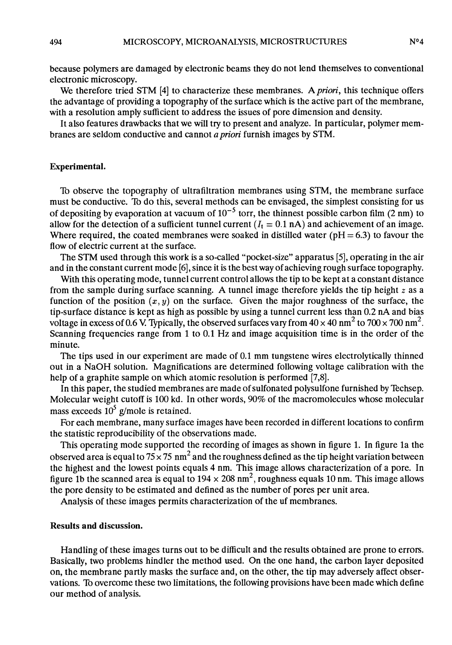because polymers are damaged by electronic beams they do not lend themselves to conventional electronic microscopy.

We therefore tried STM [4] to characterize these membranes. A *priori*, this technique offers the advantage of providing a topography of the surface which is the active part of the membrane, with a resolution amply sufficient to address the issues of pore dimension and density.

It also features drawbacks that we will try to present and analyze. In particular, polymer membranes are seldom conductive and cannot a priori furnish images by STM.

### Experimental.

To observe the topography of ultrafiltration membranes using STM, the membrane surface must be conductive. Th do this, several methods can be envisaged, the simplest consisting for us of depositing by evaporation at vacuum of  $10^{-5}$  torr, the thinnest possible carbon film (2 nm) to allow for the detection of a sufficient tunnel current  $(I_t = 0.1 \text{ nA})$  and achievement of an image. Where required, the coated membranes were soaked in distilled water ( $pH = 6.3$ ) to favour the flow of electric current at the surface.

The STM used through this work is a so-called "pocket-size" apparatus [5], operating in the air and in the constant current mode [6], since it is the best way of achieving rough surface topography.

With this operating mode, tunnel current control allows the tip to be kept at a constant distance from the sample during surface scanning. A tunnel image therefore vields the tip height  $z$  as a function of the position  $(x, y)$  on the surface. Given the major roughness of the surface, the tip-surface distance is kept as high as possible by using a tunnel current less than 0.2 nA and bias voltage in excess of 0.6 V. Typically, the observed surfaces vary from  $40 \times 40$  nm<sup>2</sup> to  $700 \times 700$  nm<sup>2</sup>. Scanning frequencies range from 1 to 0.1 Hz and image acquisition time is in the order of the minute.

The tips used in our experiment are made of 0.1 mm tungstene wires electrolytically thinned out in a NaOH solution. Magnifications are determined following voltage calibration with the help of a graphite sample on which atomic resolution is performed [7,8].

In this paper, the studied membranes are made of sulfonated polysulfone furnished by lèchsep. Molecular weight cutoff is 100 kd. In other words, 90% of the macromolecules whose molecular mass exceeds  $10^5$  g/mole is retained.

For each membrane, many surface images have been recorded in different locations to confirm the statistic reproducibility of the observations made.

This operating mode supported the recording of images as shown in figure 1. In figure la the observed area is equal to  $75 \times 75$  nm<sup>2</sup> and the roughness defined as the tip height variation between the highest and the lowest points equals 4 nm. This image allows characterization of a pore. In figure 1b the scanned area is equal to  $194 \times 208$  nm<sup>2</sup>, roughness equals 10 nm. This image allows the pore density to be estimated and defined as the number of pores per unit area.

Analysis of these images permits characterization of the uf membranes.

#### Results and discussion.

Handling of these images turns out to be difhcult and the results obtained are prone to errors. Basically, two problems hindler the method used. On the one hand, the carbon layer deposited on, the membrane partly masks the surface and, on the other, the tip may adversely affect observations. To overcome these two limitations, the following provisions have been made which define our method of analysis.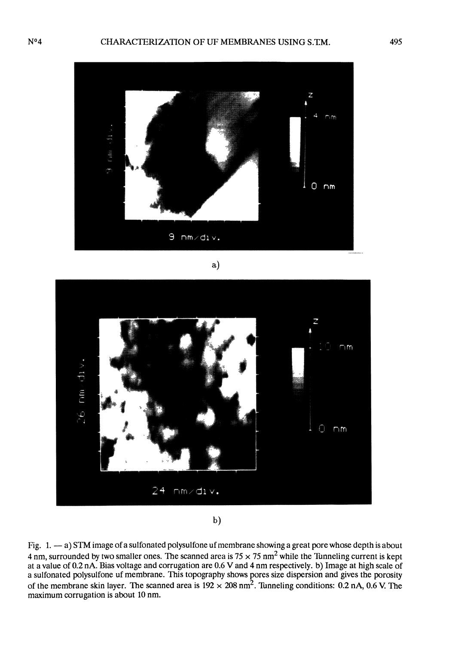

a)



 $<sub>b</sub>$ </sub>

Fig. 1. - a) STM image of a sulfonated polysulfone uf membrane showing a great pore whose depth is about 4 nm, surrounded by two smaller ones. The scanned area is  $75 \times 75$  nm<sup>2</sup> while the Tunneling current is kept 4 nm, surrounded by two smaller ones. The scanned area is 75 x 75 nm2 while the Tunneling current is kept at a value of 0.2 nA. Bias voltage and corrugation are 0.6 V and 4 nm respectively. b) Image at high scale of a sulfonated polysulfone uf membrane. This topography shows pores size dispersion and gives the porosity of the membrane skin layer. The scanned area is  $192 \times 208$  nm<sup>2</sup>. Tunneling conditions: 0.2 nA, 0.6 V. The maximum corrugation is about 10 nm.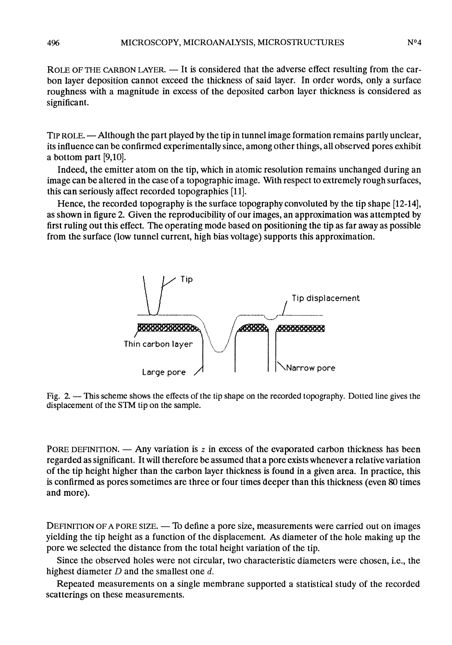ROLE OF THE CARBON LAYER. - It is considered that the adverse effect resulting from the carbon layer deposition cannot exceed the thickness of said layer. In order words, only a surface roughness with a magnitude in excess of the deposited carbon layer thickness is considered as significant.

TIP ROLE. — Although the part played by the tip in tunnel image formation remains partly unclear, its influence can be confirmed experimentally since, among other things, all observed pores exhibit a bottom part [9,10].

Indeed, the emitter atom on the tip, which in atomic resolution remains unchanged during an image can be altered in the case of a topographic image. With respect to extremely rough surfaces, this can seriously affect recorded topographies [11].

Hence, the recorded topography is the surface topography convoluted by the tip shape [12-14], as shown in figure 2. Given the reproducibility of our images, an approximation was attempted by first ruling out this effect. The operating mode based on positioning the tip as far away as possible from the surface (low tunnel current, high bias voltage) supports this approximation.



Fig. 2. - This scheme shows the effects of the tip shape on the recorded topography. Dotted line gives the displacement of the STM tip on the sample.

PORE DEFINITION. — Any variation is  $z$  in excess of the evaporated carbon thickness has been regarded as significant. It will therefore be assumed that a pore exists whenever a relative variation of the tip height higher than the carbon layer thickness is found in a given area. In practice, this is confirmed as pores sometimes are three or four times deeper than this thickness (even 80 times and more).

DEFINITION OF A PORE SIZE. — To define a pore size, measurements were carried out on images yielding the tip height as a function of the displacement. As diameter of the hole making up the pore we selected the distance from the total height variation of the tip.

Since the observed holes were not circular, two characteristic diameters were chosen, i.e., the highest diameter  $D$  and the smallest one  $d$ .

Repeated measurements on a single membrane supported a statistical study of the recorded scatterings on these measurements.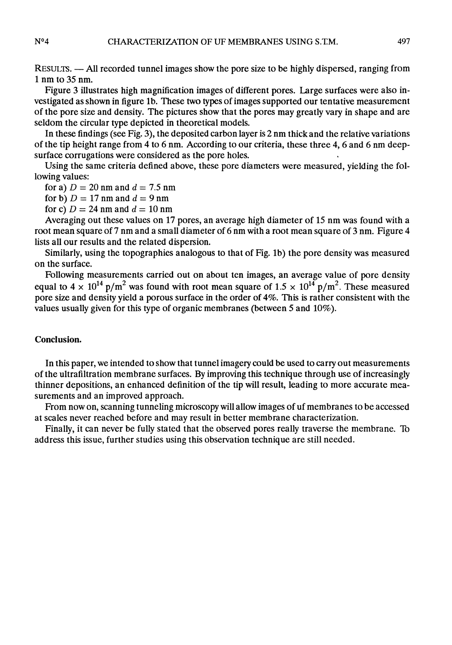RESULTS. — All recorded tunnel images show the pore size to be highly dispersed, ranging from 1 nm to 35 nm.

Figure 3 illustrates high magnification images of différent pores. Large surfaces were also investigated as shown in figure Ib. These two types of images supported our tentative measurement of the pore size and density. The pictures show that the pores may greatly vary in shape and are seldom the circular type depicted in theoretical models.

In these findings (see Fig. 3), the deposited carbon layer is 2 nm thick and the relative variations If these midnigs (see Fig. 3), the deposited carbon layer is 2 nm thick and the relative variations<br>of the tip height range from 4 to 6 nm. According to our criteria, these three 4, 6 and 6 nm deep-<br>surface corrugations we

Using the same criteria defined above, these pore diameters were measured, yielding the following values:

for a)  $D = 20$  nm and  $d = 7.5$  nm

for b)  $D = 17$  nm and  $d = 9$  nm

for c)  $D = 24$  nm and  $d = 10$  nm

Averaging out these values on 17 pores, an average high diameter of 15 nm was found with a root mean square of 7 nm and a small diameter of 6 nm with a root mean square of 3 nm. Figure 4 lists all our results and the related dispersion.

Similarly, using the topographies analogous to that of Fig. 1b) the pore density was measured on the surface.

Following measurements carried out on about ten images, an average value of pore density equal to  $4 \times 10^{14}$  p/m<sup>2</sup> was found with root mean square of  $1.5 \times 10^{14}$  p/m<sup>2</sup>. These measured pore size and density yield a porous surface in the order of 4%. This is rather consistent with the values usually given for this type of organic membranes (between 5 and 10%).

# Conclusion.

In this paper, we intended to show that tunnel imagery could be used to carry out measurements of the ultrafiltration membrane surfaces. By improving this technique through use of increasingly thinner depositions, an enhanced definition of the tip will result, leading to more accurate measurements and an improved approach.

From now on, scanning tunneling microscopy will allow images of uf membranes to be accessed at scales never reached before and may result in better membrane characterization.

Finally, it can never be fully stated that the observed pores really traverse the membrane. 'Ib address this issue, further studies using this observation technique are still needed.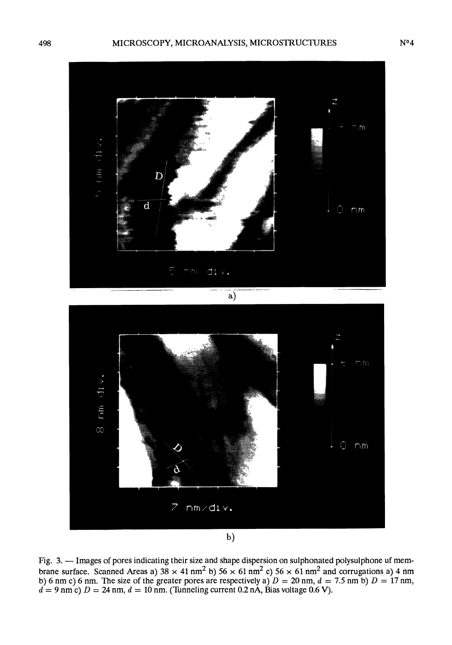

Fig. 3. — Images of pores indicating their size and shape dispersion on sulphonated polysulphone uf membrane surface. Scanned Areas a)  $38 \times 41$  nm<sup>2</sup> b)  $56 \times 61$  nm<sup>2</sup> c)  $56 \times 61$  nm<sup>2</sup> and corrugations a) 4 nm b) 6 nm c) 6 nm. The size of the greater pores are respectively a)  $D = 20$  nm,  $d = 7.5$  nm b)  $D = 17$  nm,  $d = 9$  nm c)  $D = 24$  nm,  $d = 10$  nm. (Tunneling current 0.2 nÅ, Bias voltage 0.6 V).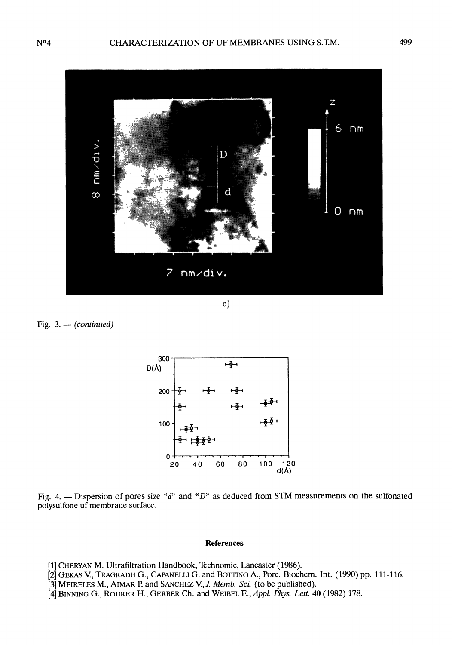

 $c)$ 

Fig.  $3. - (continued)$ 



Fig. 4. - Dispersion of pores size "d" and "D" as deduced from STM measurements on the sulfonated polysulfone uf membrane surface.

#### References

- [1] CHERYAN M. Ultrafiltration Handbook, Technomic, Lancaster (1986).
- [2] GEKAS V., TRAGRADH G., CAPANELLI G. and BOTTINO A., Porc. Biochem. Int. (1990) pp. 111-116.
- [3] MEIRELES M., AIMAR P. and SANCHEZ V., J. Memb. Sci. (to be published).
- [4] BINNING G., ROHRER H., GERBER Ch. and WEIBEL E., Appl. Phys. Lett. 40 (1982) 178.